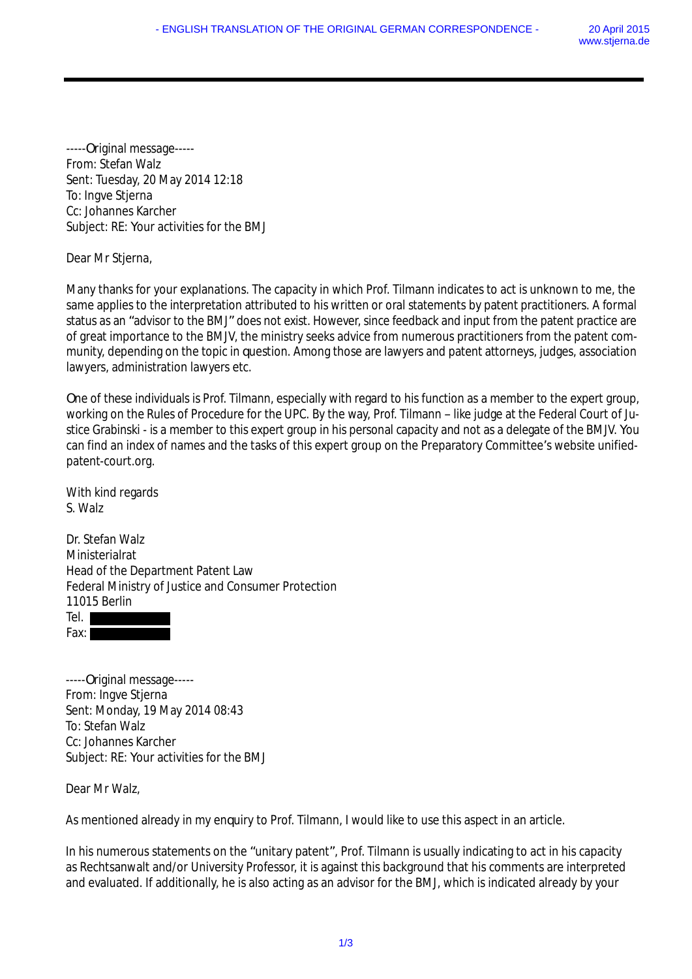-----Original message----- From: Stefan Walz Sent: Tuesday, 20 May 2014 12:18 To: Ingve Stjerna Cc: Johannes Karcher Subject: RE: Your activities for the BMJ

Dear Mr Stjerna,

Many thanks for your explanations. The capacity in which Prof. Tilmann indicates to act is unknown to me, the same applies to the interpretation attributed to his written or oral statements by patent practitioners. A formal status as an "advisor to the BMJ" does not exist. However, since feedback and input from the patent practice are of great importance to the BMJV, the ministry seeks advice from numerous practitioners from the patent community, depending on the topic in question. Among those are lawyers and patent attorneys, judges, association lawyers, administration lawyers etc.

One of these individuals is Prof. Tilmann, especially with regard to his function as a member to the expert group, working on the Rules of Procedure for the UPC. By the way, Prof. Tilmann – like judge at the Federal Court of Justice Grabinski - is a member to this expert group in his personal capacity and not as a delegate of the BMJV. You can find an index of names and the tasks of this expert group on the Preparatory Committee's website unifiedpatent-court.org.

With kind regards S. Walz

Dr. Stefan Walz Ministerialrat Head of the Department Patent Law Federal Ministry of Justice and Consumer Protection 11015 Berlin Tel. Fax: I

-----Original message----- From: Ingve Stjerna Sent: Monday, 19 May 2014 08:43 To: Stefan Walz Cc: Johannes Karcher Subject: RE: Your activities for the BMJ

Dear Mr Walz,

As mentioned already in my enquiry to Prof. Tilmann, I would like to use this aspect in an article.

In his numerous statements on the "unitary patent", Prof. Tilmann is usually indicating to act in his capacity as Rechtsanwalt and/or University Professor, it is against this background that his comments are interpreted and evaluated. If additionally, he is also acting as an advisor for the BMJ, which is indicated already by your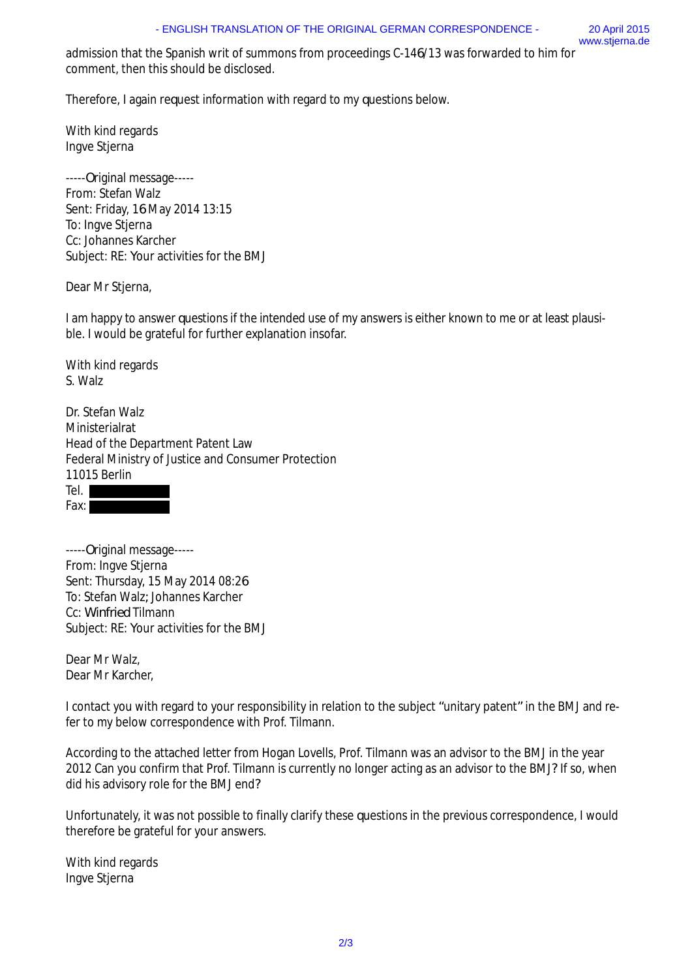admission that the Spanish writ of summons from proceedings C-146/13 was forwarded to him for comment, then this should be disclosed.

Therefore, I again request information with regard to my questions below.

With kind regards Ingve Stjerna

-----Original message----- From: Stefan Walz Sent: Friday, 16 May 2014 13:15 To: Ingve Stjerna Cc: Johannes Karcher Subject: RE: Your activities for the BMJ

Dear Mr Stjerna,

I am happy to answer questions if the intended use of my answers is either known to me or at least plausible. I would be grateful for further explanation insofar.

With kind regards S. Walz

Dr. Stefan Walz Ministerialrat Head of the Department Patent Law Federal Ministry of Justice and Consumer Protection 11015 Berlin



-----Original message----- From: Ingve Stjerna Sent: Thursday, 15 May 2014 08:26 To: Stefan Walz; Johannes Karcher Cc: Winfried Tilmann Subject: RE: Your activities for the BMJ

Dear Mr Walz, Dear Mr Karcher,

I contact you with regard to your responsibility in relation to the subject "unitary patent" in the BMJ and refer to my below correspondence with Prof. Tilmann.

According to the attached letter from Hogan Lovells, Prof. Tilmann was an advisor to the BMJ in the year 2012 Can you confirm that Prof. Tilmann is currently no longer acting as an advisor to the BMJ? If so, when did his advisory role for the BMJ end?

Unfortunately, it was not possible to finally clarify these questions in the previous correspondence, I would therefore be grateful for your answers.

With kind regards Ingve Stjerna